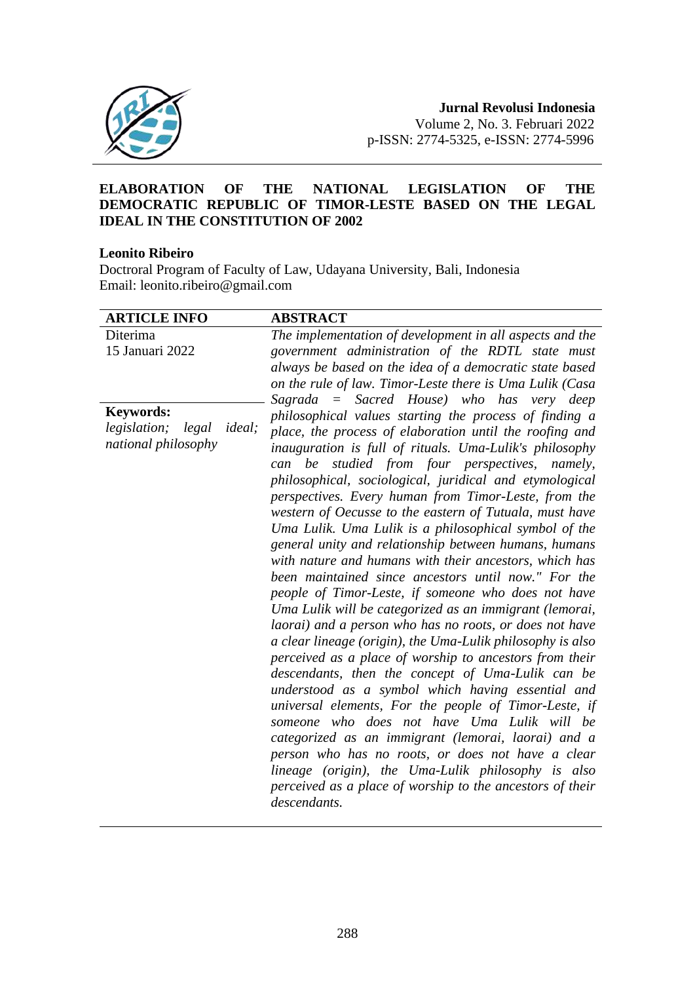

### **ELABORATION OF THE NATIONAL LEGISLATION OF THE DEMOCRATIC REPUBLIC OF TIMOR-LESTE BASED ON THE LEGAL IDEAL IN THE CONSTITUTION OF 2002**

### **Leonito Ribeiro**

Doctroral Program of Faculty of Law, Udayana University, Bali, Indonesia Email: leonito.ribeiro@gmail.com

| <b>ARTICLE INFO</b>                             | <b>ABSTRACT</b>                                            |
|-------------------------------------------------|------------------------------------------------------------|
| Diterima                                        | The implementation of development in all aspects and the   |
| 15 Januari 2022                                 | government administration of the RDTL state must           |
|                                                 | always be based on the idea of a democratic state based    |
|                                                 | on the rule of law. Timor-Leste there is Uma Lulik (Casa   |
|                                                 | Sagrada = Sacred House) who has very deep                  |
| <b>Keywords:</b>                                | philosophical values starting the process of finding a     |
| <i>legislation</i> ;<br><i>ideal</i> ;<br>legal | place, the process of elaboration until the roofing and    |
| national philosophy                             | inauguration is full of rituals. Uma-Lulik's philosophy    |
|                                                 | studied from four perspectives,<br>be<br>namely,<br>can    |
|                                                 | philosophical, sociological, juridical and etymological    |
|                                                 | perspectives. Every human from Timor-Leste, from the       |
|                                                 | western of Oecusse to the eastern of Tutuala, must have    |
|                                                 | Uma Lulik. Uma Lulik is a philosophical symbol of the      |
|                                                 | general unity and relationship between humans, humans      |
|                                                 | with nature and humans with their ancestors, which has     |
|                                                 | been maintained since ancestors until now." For the        |
|                                                 | people of Timor-Leste, if someone who does not have        |
|                                                 | Uma Lulik will be categorized as an immigrant (lemorai,    |
|                                                 | laorai) and a person who has no roots, or does not have    |
|                                                 |                                                            |
|                                                 | a clear lineage (origin), the Uma-Lulik philosophy is also |
|                                                 | perceived as a place of worship to ancestors from their    |
|                                                 | descendants, then the concept of Uma-Lulik can be          |
|                                                 | understood as a symbol which having essential and          |
|                                                 | universal elements, For the people of Timor-Leste, if      |
|                                                 | someone who does not have Uma Lulik will be                |
|                                                 | categorized as an immigrant (lemorai, laorai) and a        |
|                                                 | person who has no roots, or does not have a clear          |
|                                                 | lineage (origin), the Uma-Lulik philosophy is also         |
|                                                 | perceived as a place of worship to the ancestors of their  |
|                                                 | descendants.                                               |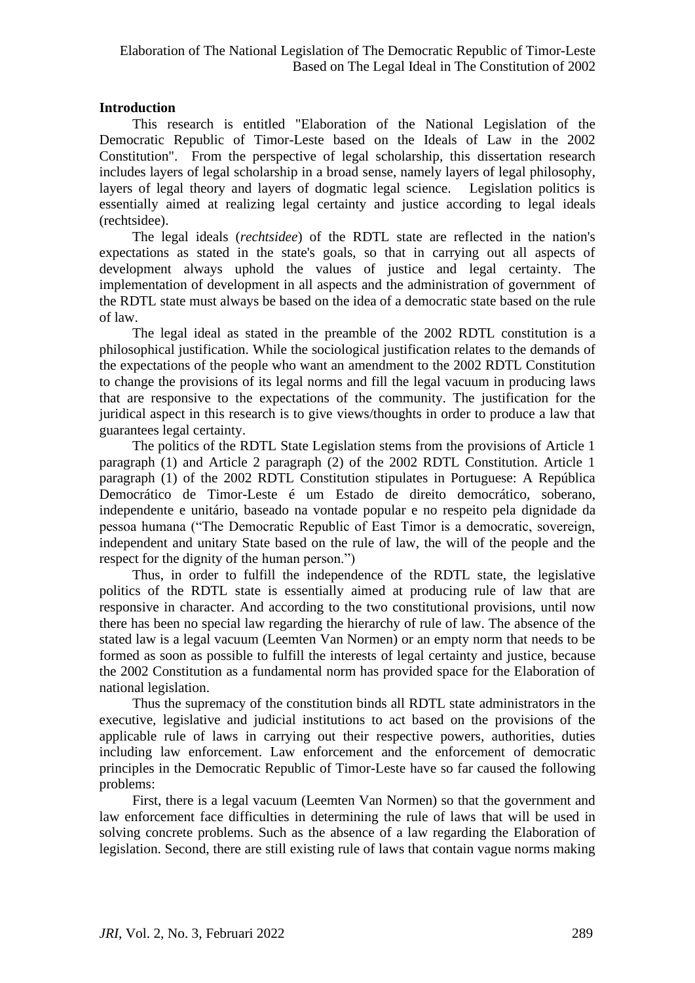# **Introduction**

This research is entitled "Elaboration of the National Legislation of the Democratic Republic of Timor-Leste based on the Ideals of Law in the 2002 Constitution". From the perspective of legal scholarship, this dissertation research includes layers of legal scholarship in a broad sense, namely layers of legal philosophy, layers of legal theory and layers of dogmatic legal science. Legislation politics is essentially aimed at realizing legal certainty and justice according to legal ideals (rechtsidee).

The legal ideals (*rechtsidee*) of the RDTL state are reflected in the nation's expectations as stated in the state's goals, so that in carrying out all aspects of development always uphold the values of justice and legal certainty. The implementation of development in all aspects and the administration of government of the RDTL state must always be based on the idea of a democratic state based on the rule of law.

The legal ideal as stated in the preamble of the 2002 RDTL constitution is a philosophical justification. While the sociological justification relates to the demands of the expectations of the people who want an amendment to the 2002 RDTL Constitution to change the provisions of its legal norms and fill the legal vacuum in producing laws that are responsive to the expectations of the community. The justification for the juridical aspect in this research is to give views/thoughts in order to produce a law that guarantees legal certainty.

The politics of the RDTL State Legislation stems from the provisions of Article 1 paragraph (1) and Article 2 paragraph (2) of the 2002 RDTL Constitution. Article 1 paragraph (1) of the 2002 RDTL Constitution stipulates in Portuguese: A República Democrático de Timor-Leste é um Estado de direito democrático, soberano, independente e unitário, baseado na vontade popular e no respeito pela dignidade da pessoa humana ("The Democratic Republic of East Timor is a democratic, sovereign, independent and unitary State based on the rule of law, the will of the people and the respect for the dignity of the human person.")

Thus, in order to fulfill the independence of the RDTL state, the legislative politics of the RDTL state is essentially aimed at producing rule of law that are responsive in character. And according to the two constitutional provisions, until now there has been no special law regarding the hierarchy of rule of law. The absence of the stated law is a legal vacuum (Leemten Van Normen) or an empty norm that needs to be formed as soon as possible to fulfill the interests of legal certainty and justice, because the 2002 Constitution as a fundamental norm has provided space for the Elaboration of national legislation.

Thus the supremacy of the constitution binds all RDTL state administrators in the executive, legislative and judicial institutions to act based on the provisions of the applicable rule of laws in carrying out their respective powers, authorities, duties including law enforcement. Law enforcement and the enforcement of democratic principles in the Democratic Republic of Timor-Leste have so far caused the following problems:

First, there is a legal vacuum (Leemten Van Normen) so that the government and law enforcement face difficulties in determining the rule of laws that will be used in solving concrete problems. Such as the absence of a law regarding the Elaboration of legislation. Second, there are still existing rule of laws that contain vague norms making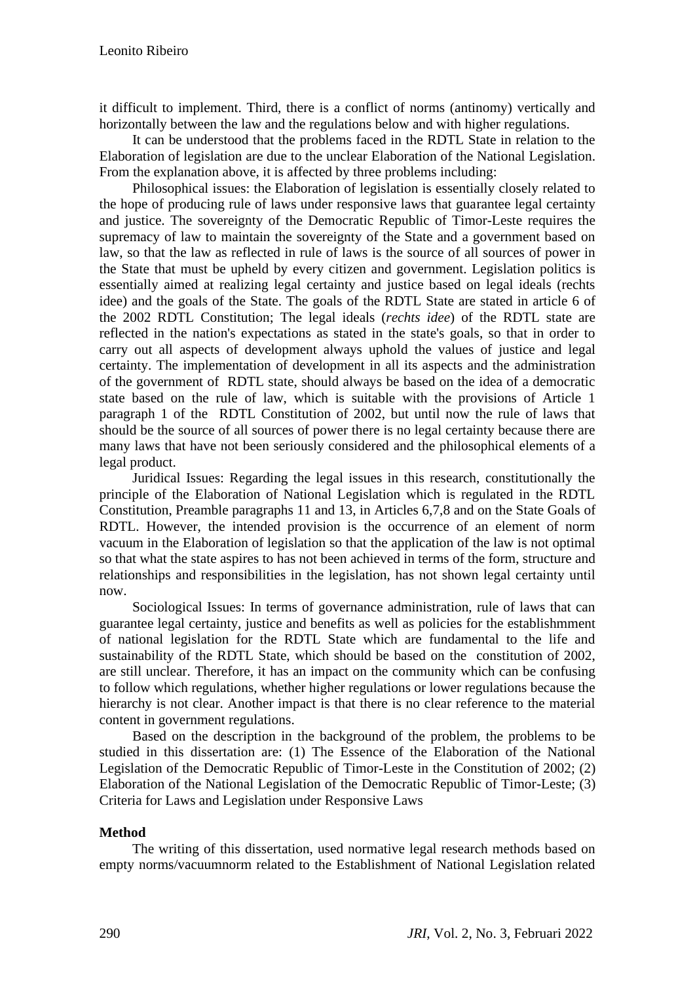it difficult to implement. Third, there is a conflict of norms (antinomy) vertically and horizontally between the law and the regulations below and with higher regulations.

It can be understood that the problems faced in the RDTL State in relation to the Elaboration of legislation are due to the unclear Elaboration of the National Legislation. From the explanation above, it is affected by three problems including:

Philosophical issues: the Elaboration of legislation is essentially closely related to the hope of producing rule of laws under responsive laws that guarantee legal certainty and justice. The sovereignty of the Democratic Republic of Timor-Leste requires the supremacy of law to maintain the sovereignty of the State and a government based on law, so that the law as reflected in rule of laws is the source of all sources of power in the State that must be upheld by every citizen and government. Legislation politics is essentially aimed at realizing legal certainty and justice based on legal ideals (rechts idee) and the goals of the State. The goals of the RDTL State are stated in article 6 of the 2002 RDTL Constitution; The legal ideals (*rechts idee*) of the RDTL state are reflected in the nation's expectations as stated in the state's goals, so that in order to carry out all aspects of development always uphold the values of justice and legal certainty. The implementation of development in all its aspects and the administration of the government of RDTL state, should always be based on the idea of a democratic state based on the rule of law, which is suitable with the provisions of Article 1 paragraph 1 of the RDTL Constitution of 2002, but until now the rule of laws that should be the source of all sources of power there is no legal certainty because there are many laws that have not been seriously considered and the philosophical elements of a legal product.

Juridical Issues: Regarding the legal issues in this research, constitutionally the principle of the Elaboration of National Legislation which is regulated in the RDTL Constitution, Preamble paragraphs 11 and 13, in Articles 6,7,8 and on the State Goals of RDTL. However, the intended provision is the occurrence of an element of norm vacuum in the Elaboration of legislation so that the application of the law is not optimal so that what the state aspires to has not been achieved in terms of the form, structure and relationships and responsibilities in the legislation, has not shown legal certainty until now.

Sociological Issues: In terms of governance administration, rule of laws that can guarantee legal certainty, justice and benefits as well as policies for the establishmment of national legislation for the RDTL State which are fundamental to the life and sustainability of the RDTL State, which should be based on the constitution of 2002, are still unclear. Therefore, it has an impact on the community which can be confusing to follow which regulations, whether higher regulations or lower regulations because the hierarchy is not clear. Another impact is that there is no clear reference to the material content in government regulations.

Based on the description in the background of the problem, the problems to be studied in this dissertation are: (1) The Essence of the Elaboration of the National Legislation of the Democratic Republic of Timor-Leste in the Constitution of 2002; (2) Elaboration of the National Legislation of the Democratic Republic of Timor-Leste; (3) Criteria for Laws and Legislation under Responsive Laws

# **Method**

The writing of this dissertation, used normative legal research methods based on empty norms/vacuumnorm related to the Establishment of National Legislation related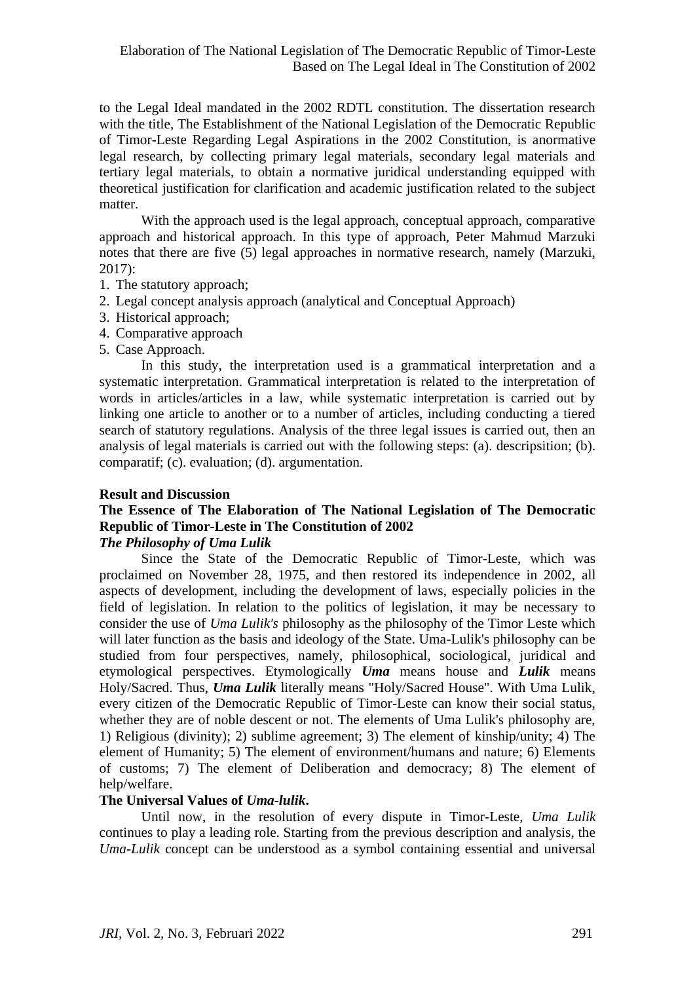to the Legal Ideal mandated in the 2002 RDTL constitution. The dissertation research with the title, The Establishment of the National Legislation of the Democratic Republic of Timor-Leste Regarding Legal Aspirations in the 2002 Constitution, is anormative legal research, by collecting primary legal materials, secondary legal materials and tertiary legal materials, to obtain a normative juridical understanding equipped with theoretical justification for clarification and academic justification related to the subject matter.

With the approach used is the legal approach, conceptual approach, comparative approach and historical approach. In this type of approach, Peter Mahmud Marzuki notes that there are five (5) legal approaches in normative research, namely (Marzuki, 2017):

- 1. The statutory approach;
- 2. Legal concept analysis approach (analytical and Conceptual Approach)
- 3. Historical approach;
- 4. Comparative approach
- 5. Case Approach.

In this study, the interpretation used is a grammatical interpretation and a systematic interpretation. Grammatical interpretation is related to the interpretation of words in articles/articles in a law, while systematic interpretation is carried out by linking one article to another or to a number of articles, including conducting a tiered search of statutory regulations. Analysis of the three legal issues is carried out, then an analysis of legal materials is carried out with the following steps: (a). descripsition; (b). comparatif; (c). evaluation; (d). argumentation.

### **Result and Discussion**

# **The Essence of The Elaboration of The National Legislation of The Democratic Republic of Timor-Leste in The Constitution of 2002**

# *The Philosophy of Uma Lulik*

Since the State of the Democratic Republic of Timor-Leste, which was proclaimed on November 28, 1975, and then restored its independence in 2002, all aspects of development, including the development of laws, especially policies in the field of legislation. In relation to the politics of legislation, it may be necessary to consider the use of *Uma Lulik's* philosophy as the philosophy of the Timor Leste which will later function as the basis and ideology of the State. Uma-Lulik's philosophy can be studied from four perspectives, namely, philosophical, sociological, juridical and etymological perspectives. Etymologically *Uma* means house and *Lulik* means Holy/Sacred. Thus, *Uma Lulik* literally means "Holy/Sacred House". With Uma Lulik, every citizen of the Democratic Republic of Timor-Leste can know their social status, whether they are of noble descent or not. The elements of Uma Lulik's philosophy are, 1) Religious (divinity); 2) sublime agreement; 3) The element of kinship/unity; 4) The element of Humanity; 5) The element of environment/humans and nature; 6) Elements of customs; 7) The element of Deliberation and democracy; 8) The element of help/welfare.

### **The Universal Values of** *Uma-lulik***.**

Until now, in the resolution of every dispute in Timor-Leste, *Uma Lulik* continues to play a leading role. Starting from the previous description and analysis, the *Uma-Lulik* concept can be understood as a symbol containing essential and universal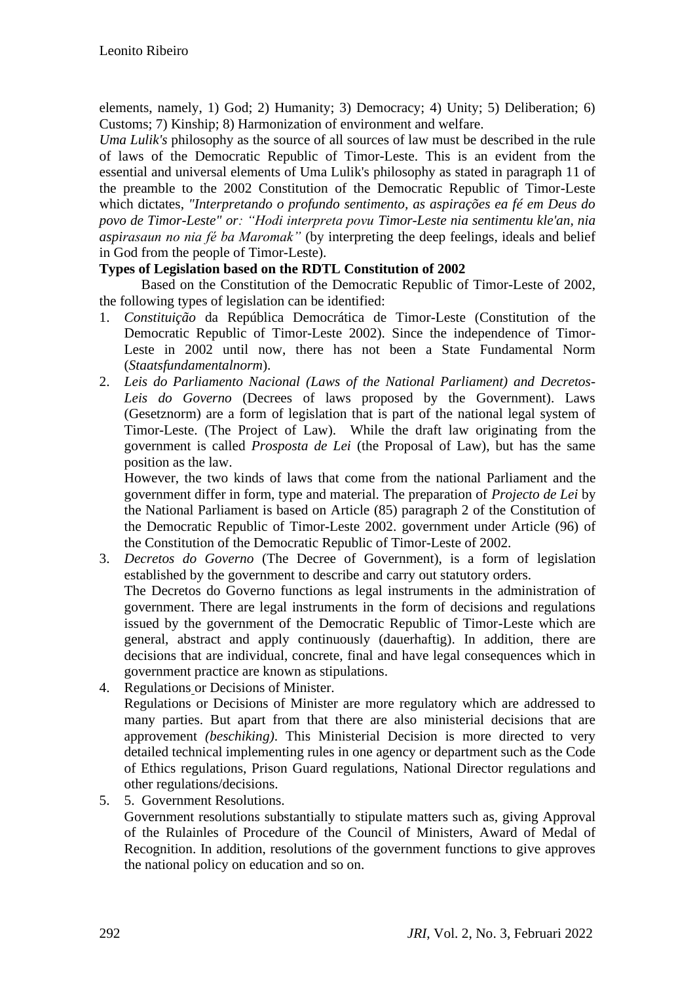elements, namely, 1) God; 2) Humanity; 3) Democracy; 4) Unity; 5) Deliberation; 6) Customs; 7) Kinship; 8) Harmonization of environment and welfare.

*Uma Lulik's* philosophy as the source of all sources of law must be described in the rule of laws of the Democratic Republic of Timor-Leste. This is an evident from the essential and universal elements of Uma Lulik's philosophy as stated in paragraph 11 of the preamble to the 2002 Constitution of the Democratic Republic of Timor-Leste which dictates, *"Interpretando o profundo sentimento, as aspirações ea fé em Deus do povo de Timor-Leste" or: "Hodi interpreta povu Timor-Leste nia sentimentu kle'an, nia aspirasaun no nia fé ba Maromak"* (by interpreting the deep feelings, ideals and belief in God from the people of Timor-Leste).

# **Types of Legislation based on the RDTL Constitution of 2002**

Based on the Constitution of the Democratic Republic of Timor-Leste of 2002, the following types of legislation can be identified:

- 1. *Constituição* da República Democrática de Timor-Leste (Constitution of the Democratic Republic of Timor-Leste 2002). Since the independence of Timor-Leste in 2002 until now, there has not been a State Fundamental Norm (*Staatsfundamentalnorm*).
- 2. *Leis do Parliamento Nacional (Laws of the National Parliament) and Decretos-Leis do Governo* (Decrees of laws proposed by the Government). Laws (Gesetznorm) are a form of legislation that is part of the national legal system of Timor-Leste. (The Project of Law). While the draft law originating from the government is called *Prosposta de Lei* (the Proposal of Law), but has the same position as the law.

However, the two kinds of laws that come from the national Parliament and the government differ in form, type and material. The preparation of *Projecto de Lei* by the National Parliament is based on Article (85) paragraph 2 of the Constitution of the Democratic Republic of Timor-Leste 2002. government under Article (96) of the Constitution of the Democratic Republic of Timor-Leste of 2002.

- 3. *Decretos do Governo* (The Decree of Government), is a form of legislation established by the government to describe and carry out statutory orders. The Decretos do Governo functions as legal instruments in the administration of government. There are legal instruments in the form of decisions and regulations issued by the government of the Democratic Republic of Timor-Leste which are general, abstract and apply continuously (dauerhaftig). In addition, there are decisions that are individual, concrete, final and have legal consequences which in government practice are known as stipulations.
- 4. Regulations or Decisions of Minister. Regulations or Decisions of Minister are more regulatory which are addressed to many parties. But apart from that there are also ministerial decisions that are approvement *(beschiking)*. This Ministerial Decision is more directed to very detailed technical implementing rules in one agency or department such as the Code of Ethics regulations, Prison Guard regulations, National Director regulations and other regulations/decisions.
- 5. 5. Government Resolutions.

Government resolutions substantially to stipulate matters such as, giving Approval of the Rulainles of Procedure of the Council of Ministers, Award of Medal of Recognition. In addition, resolutions of the government functions to give approves the national policy on education and so on.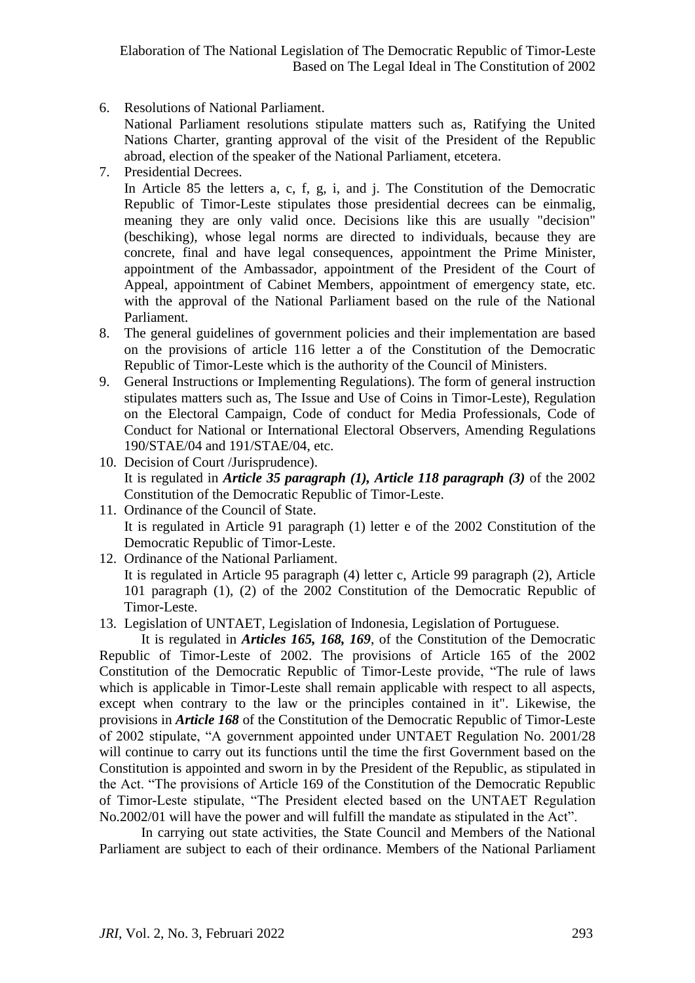6. Resolutions of National Parliament.

National Parliament resolutions stipulate matters such as, Ratifying the United Nations Charter, granting approval of the visit of the President of the Republic abroad, election of the speaker of the National Parliament, etcetera.

7. Presidential Decrees.

In Article 85 the letters a, c, f, g, i, and j. The Constitution of the Democratic Republic of Timor-Leste stipulates those presidential decrees can be einmalig, meaning they are only valid once. Decisions like this are usually "decision" (beschiking), whose legal norms are directed to individuals, because they are concrete, final and have legal consequences, appointment the Prime Minister, appointment of the Ambassador, appointment of the President of the Court of Appeal, appointment of Cabinet Members, appointment of emergency state, etc. with the approval of the National Parliament based on the rule of the National Parliament.

- 8. The general guidelines of government policies and their implementation are based on the provisions of article 116 letter a of the Constitution of the Democratic Republic of Timor-Leste which is the authority of the Council of Ministers.
- 9. General Instructions or Implementing Regulations). The form of general instruction stipulates matters such as, The Issue and Use of Coins in Timor-Leste), Regulation on the Electoral Campaign, Code of conduct for Media Professionals, Code of Conduct for National or International Electoral Observers, Amending Regulations 190/STAE/04 and 191/STAE/04, etc.
- 10. Decision of Court /Jurisprudence). It is regulated in *Article 35 paragraph (1), Article 118 paragraph (3)* of the 2002 Constitution of the Democratic Republic of Timor-Leste.
- 11. Ordinance of the Council of State. It is regulated in Article 91 paragraph (1) letter e of the 2002 Constitution of the Democratic Republic of Timor-Leste.
- 12. Ordinance of the National Parliament. It is regulated in Article 95 paragraph (4) letter c, Article 99 paragraph (2), Article 101 paragraph (1), (2) of the 2002 Constitution of the Democratic Republic of Timor-Leste.

13. Legislation of UNTAET, Legislation of Indonesia, Legislation of Portuguese.

It is regulated in *Articles 165, 168, 169*, of the Constitution of the Democratic Republic of Timor-Leste of 2002. The provisions of Article 165 of the 2002 Constitution of the Democratic Republic of Timor-Leste provide, "The rule of laws which is applicable in Timor-Leste shall remain applicable with respect to all aspects, except when contrary to the law or the principles contained in it". Likewise, the provisions in *Article 168* of the Constitution of the Democratic Republic of Timor-Leste of 2002 stipulate, "A government appointed under UNTAET Regulation No. 2001/28 will continue to carry out its functions until the time the first Government based on the Constitution is appointed and sworn in by the President of the Republic, as stipulated in the Act. "The provisions of Article 169 of the Constitution of the Democratic Republic of Timor-Leste stipulate, "The President elected based on the UNTAET Regulation No.2002/01 will have the power and will fulfill the mandate as stipulated in the Act".

In carrying out state activities, the State Council and Members of the National Parliament are subject to each of their ordinance. Members of the National Parliament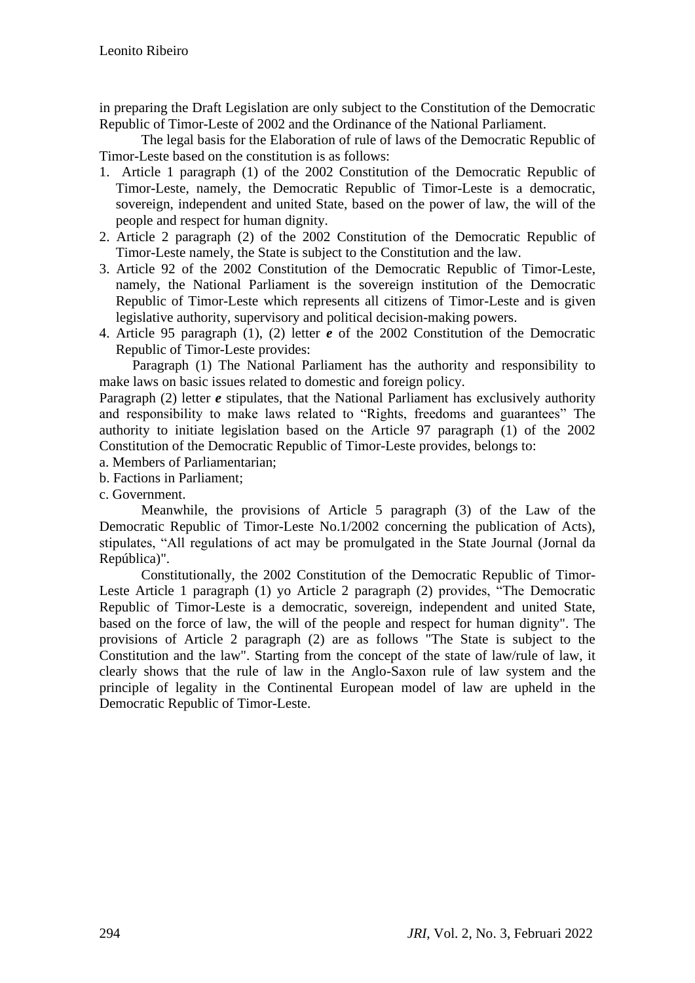in preparing the Draft Legislation are only subject to the Constitution of the Democratic Republic of Timor-Leste of 2002 and the Ordinance of the National Parliament.

The legal basis for the Elaboration of rule of laws of the Democratic Republic of Timor-Leste based on the constitution is as follows:

- 1. Article 1 paragraph (1) of the 2002 Constitution of the Democratic Republic of Timor-Leste, namely, the Democratic Republic of Timor-Leste is a democratic, sovereign, independent and united State, based on the power of law, the will of the people and respect for human dignity.
- 2. Article 2 paragraph (2) of the 2002 Constitution of the Democratic Republic of Timor-Leste namely, the State is subject to the Constitution and the law.
- 3. Article 92 of the 2002 Constitution of the Democratic Republic of Timor-Leste, namely, the National Parliament is the sovereign institution of the Democratic Republic of Timor-Leste which represents all citizens of Timor-Leste and is given legislative authority, supervisory and political decision-making powers.
- 4. Article 95 paragraph (1), (2) letter *e* of the 2002 Constitution of the Democratic Republic of Timor-Leste provides:

Paragraph (1) The National Parliament has the authority and responsibility to make laws on basic issues related to domestic and foreign policy.

Paragraph (2) letter *e* stipulates, that the National Parliament has exclusively authority and responsibility to make laws related to "Rights, freedoms and guarantees" The authority to initiate legislation based on the Article 97 paragraph (1) of the 2002 Constitution of the Democratic Republic of Timor-Leste provides, belongs to:

- a. Members of Parliamentarian;
- b. Factions in Parliament;
- c. Government.

Meanwhile, the provisions of Article 5 paragraph (3) of the Law of the Democratic Republic of Timor-Leste No.1/2002 concerning the publication of Acts), stipulates, "All regulations of act may be promulgated in the State Journal (Jornal da República)".

Constitutionally, the 2002 Constitution of the Democratic Republic of Timor-Leste Article 1 paragraph (1) yo Article 2 paragraph (2) provides, "The Democratic Republic of Timor-Leste is a democratic, sovereign, independent and united State, based on the force of law, the will of the people and respect for human dignity". The provisions of Article 2 paragraph (2) are as follows "The State is subject to the Constitution and the law". Starting from the concept of the state of law/rule of law, it clearly shows that the rule of law in the Anglo-Saxon rule of law system and the principle of legality in the Continental European model of law are upheld in the Democratic Republic of Timor-Leste.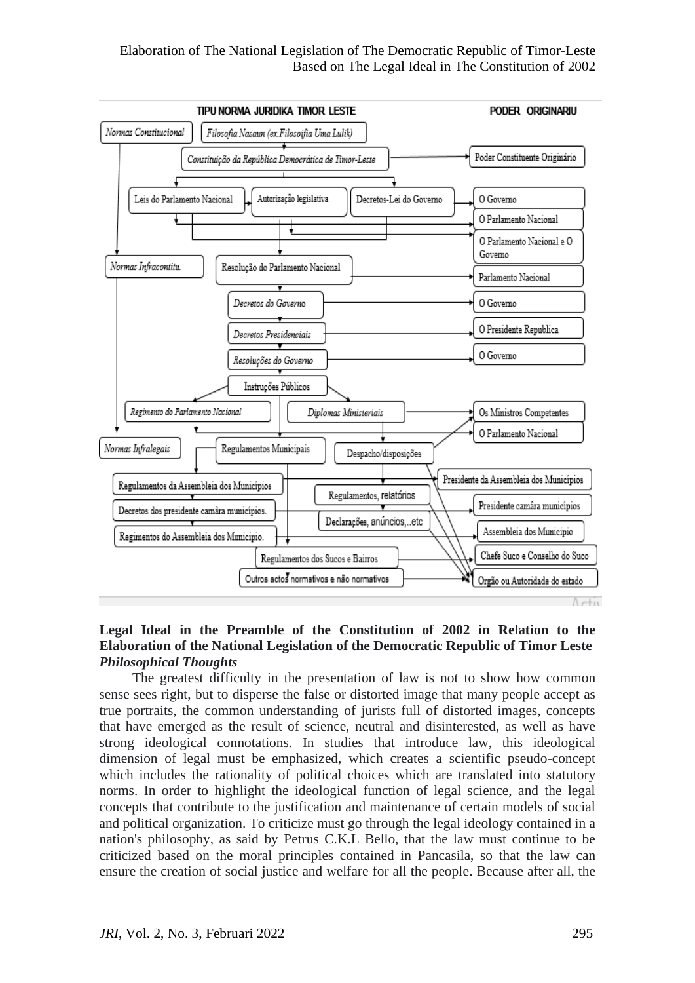# Elaboration of The National Legislation of The Democratic Republic of Timor-Leste Based on The Legal Ideal in The Constitution of 2002



### **Legal Ideal in the Preamble of the Constitution of 2002 in Relation to the Elaboration of the National Legislation of the Democratic Republic of Timor Leste**  *Philosophical Thoughts*

The greatest difficulty in the presentation of law is not to show how common sense sees right, but to disperse the false or distorted image that many people accept as true portraits, the common understanding of jurists full of distorted images, concepts that have emerged as the result of science, neutral and disinterested, as well as have strong ideological connotations. In studies that introduce law, this ideological dimension of legal must be emphasized, which creates a scientific pseudo-concept which includes the rationality of political choices which are translated into statutory norms. In order to highlight the ideological function of legal science, and the legal concepts that contribute to the justification and maintenance of certain models of social and political organization. To criticize must go through the legal ideology contained in a nation's philosophy, as said by Petrus C.K.L Bello, that the law must continue to be criticized based on the moral principles contained in Pancasila, so that the law can ensure the creation of social justice and welfare for all the people. Because after all, the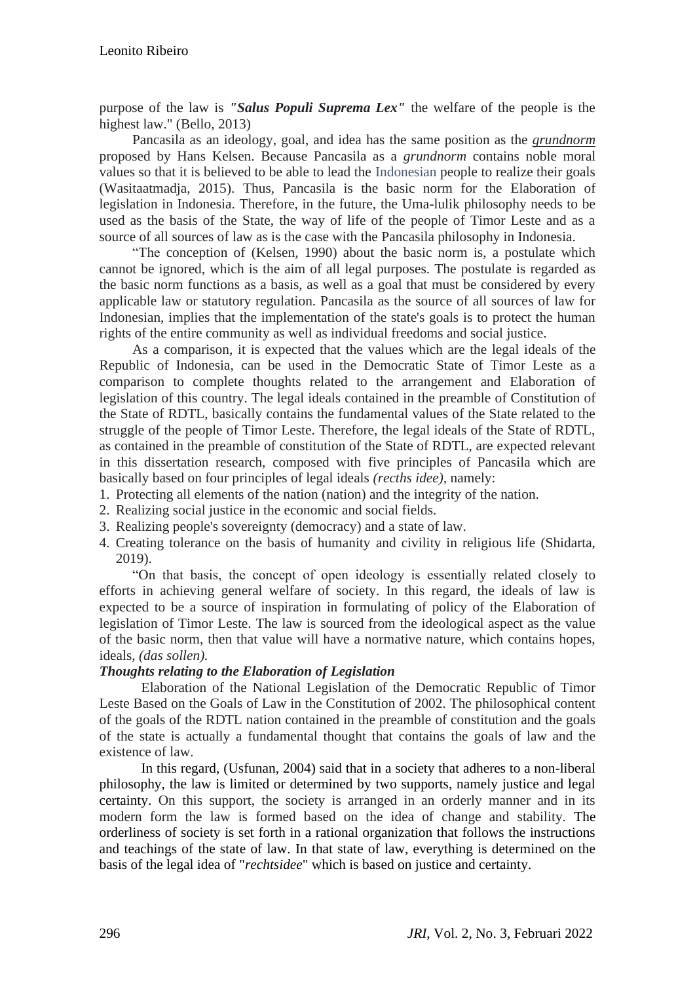purpose of the law is *"Salus Populi Suprema Lex"* the welfare of the people is the highest law." (Bello, 2013)

Pancasila as an ideology, goal, and idea has the same position as the *grundnorm* proposed by Hans Kelsen. Because Pancasila as a *grundnorm* contains noble moral values so that it is believed to be able to lead the Indonesian people to realize their goals (Wasitaatmadja, 2015). Thus, Pancasila is the basic norm for the Elaboration of legislation in Indonesia. Therefore, in the future, the Uma-lulik philosophy needs to be used as the basis of the State, the way of life of the people of Timor Leste and as a source of all sources of law as is the case with the Pancasila philosophy in Indonesia.

"The conception of (Kelsen, 1990) about the basic norm is, a postulate which cannot be ignored, which is the aim of all legal purposes. The postulate is regarded as the basic norm functions as a basis, as well as a goal that must be considered by every applicable law or statutory regulation. Pancasila as the source of all sources of law for Indonesian, implies that the implementation of the state's goals is to protect the human rights of the entire community as well as individual freedoms and social justice.

As a comparison, it is expected that the values which are the legal ideals of the Republic of Indonesia, can be used in the Democratic State of Timor Leste as a comparison to complete thoughts related to the arrangement and Elaboration of legislation of this country. The legal ideals contained in the preamble of Constitution of the State of RDTL, basically contains the fundamental values of the State related to the struggle of the people of Timor Leste. Therefore, the legal ideals of the State of RDTL, as contained in the preamble of constitution of the State of RDTL, are expected relevant in this dissertation research, composed with five principles of Pancasila which are basically based on four principles of legal ideals *(recths idee),* namely:

- 1. Protecting all elements of the nation (nation) and the integrity of the nation.
- 2. Realizing social justice in the economic and social fields.
- 3. Realizing people's sovereignty (democracy) and a state of law.
- 4. Creating tolerance on the basis of humanity and civility in religious life (Shidarta, 2019).

"On that basis, the concept of open ideology is essentially related closely to efforts in achieving general welfare of society. In this regard, the ideals of law is expected to be a source of inspiration in formulating of policy of the Elaboration of legislation of Timor Leste. The law is sourced from the ideological aspect as the value of the basic norm, then that value will have a normative nature, which contains hopes, ideals, *(das sollen).* 

# *Thoughts relating to the Elaboration of Legislation*

Elaboration of the National Legislation of the Democratic Republic of Timor Leste Based on the Goals of Law in the Constitution of 2002. The philosophical content of the goals of the RDTL nation contained in the preamble of constitution and the goals of the state is actually a fundamental thought that contains the goals of law and the existence of law.

In this regard, (Usfunan, 2004) said that in a society that adheres to a non-liberal philosophy, the law is limited or determined by two supports, namely justice and legal certainty. On this support, the society is arranged in an orderly manner and in its modern form the law is formed based on the idea of change and stability. The orderliness of society is set forth in a rational organization that follows the instructions and teachings of the state of law. In that state of law, everything is determined on the basis of the legal idea of "*rechtsidee*" which is based on justice and certainty.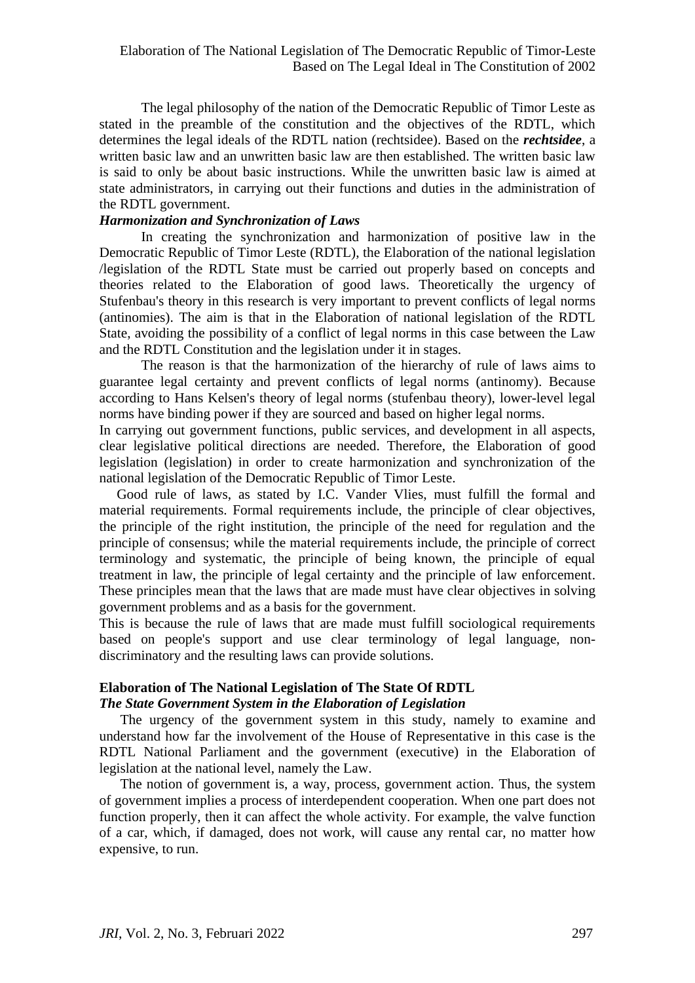The legal philosophy of the nation of the Democratic Republic of Timor Leste as stated in the preamble of the constitution and the objectives of the RDTL, which determines the legal ideals of the RDTL nation (rechtsidee). Based on the *rechtsidee*, a written basic law and an unwritten basic law are then established. The written basic law is said to only be about basic instructions. While the unwritten basic law is aimed at state administrators, in carrying out their functions and duties in the administration of the RDTL government.

### *Harmonization and Synchronization of Laws*

In creating the synchronization and harmonization of positive law in the Democratic Republic of Timor Leste (RDTL), the Elaboration of the national legislation /legislation of the RDTL State must be carried out properly based on concepts and theories related to the Elaboration of good laws. Theoretically the urgency of Stufenbau's theory in this research is very important to prevent conflicts of legal norms (antinomies). The aim is that in the Elaboration of national legislation of the RDTL State, avoiding the possibility of a conflict of legal norms in this case between the Law and the RDTL Constitution and the legislation under it in stages.

The reason is that the harmonization of the hierarchy of rule of laws aims to guarantee legal certainty and prevent conflicts of legal norms (antinomy). Because according to Hans Kelsen's theory of legal norms (stufenbau theory), lower-level legal norms have binding power if they are sourced and based on higher legal norms.

In carrying out government functions, public services, and development in all aspects, clear legislative political directions are needed. Therefore, the Elaboration of good legislation (legislation) in order to create harmonization and synchronization of the national legislation of the Democratic Republic of Timor Leste.

 Good rule of laws, as stated by I.C. Vander Vlies, must fulfill the formal and material requirements. Formal requirements include, the principle of clear objectives, the principle of the right institution, the principle of the need for regulation and the principle of consensus; while the material requirements include, the principle of correct terminology and systematic, the principle of being known, the principle of equal treatment in law, the principle of legal certainty and the principle of law enforcement. These principles mean that the laws that are made must have clear objectives in solving government problems and as a basis for the government.

This is because the rule of laws that are made must fulfill sociological requirements based on people's support and use clear terminology of legal language, nondiscriminatory and the resulting laws can provide solutions.

# **Elaboration of The National Legislation of The State Of RDTL** *The State Government System in the Elaboration of Legislation*

The urgency of the government system in this study, namely to examine and understand how far the involvement of the House of Representative in this case is the RDTL National Parliament and the government (executive) in the Elaboration of legislation at the national level, namely the Law.

The notion of government is, a way, process, government action. Thus, the system of government implies a process of interdependent cooperation. When one part does not function properly, then it can affect the whole activity. For example, the valve function of a car, which, if damaged, does not work, will cause any rental car, no matter how expensive, to run.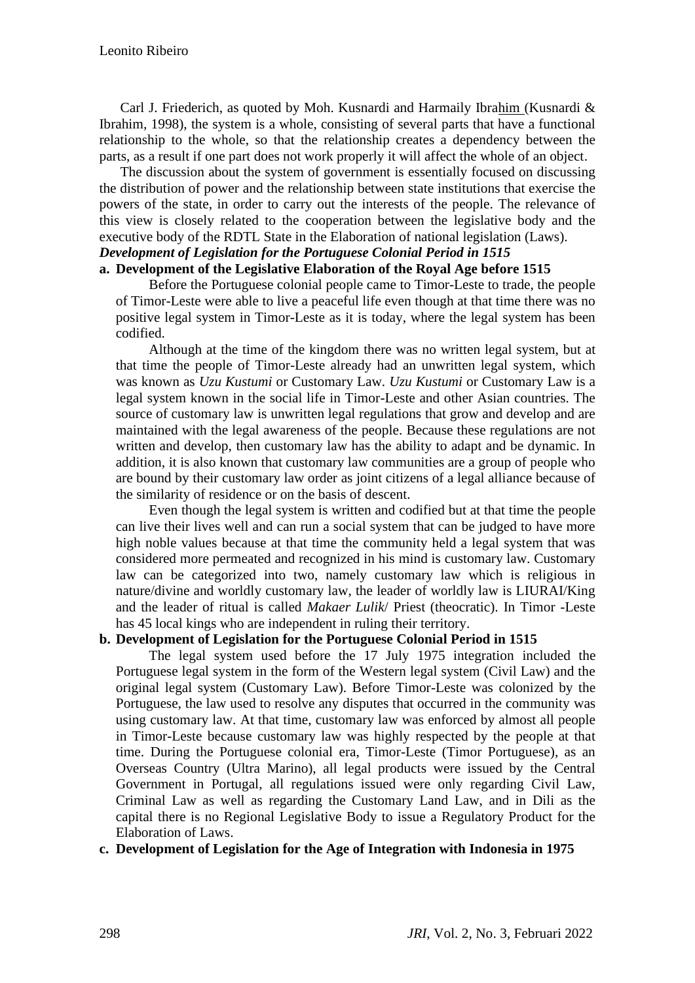Carl J. Friederich, as quoted by Moh. Kusnardi and Harmaily Ibrahim (Kusnardi & Ibrahim, 1998), the system is a whole, consisting of several parts that have a functional relationship to the whole, so that the relationship creates a dependency between the parts, as a result if one part does not work properly it will affect the whole of an object.

The discussion about the system of government is essentially focused on discussing the distribution of power and the relationship between state institutions that exercise the powers of the state, in order to carry out the interests of the people. The relevance of this view is closely related to the cooperation between the legislative body and the executive body of the RDTL State in the Elaboration of national legislation (Laws).

### *Development of Legislation for the Portuguese Colonial Period in 1515* **a. Development of the Legislative Elaboration of the Royal Age before 1515**

Before the Portuguese colonial people came to Timor-Leste to trade, the people of Timor-Leste were able to live a peaceful life even though at that time there was no positive legal system in Timor-Leste as it is today, where the legal system has been codified.

Although at the time of the kingdom there was no written legal system, but at that time the people of Timor-Leste already had an unwritten legal system, which was known as *Uzu Kustumi* or Customary Law. *Uzu Kustumi* or Customary Law is a legal system known in the social life in Timor-Leste and other Asian countries. The source of customary law is unwritten legal regulations that grow and develop and are maintained with the legal awareness of the people. Because these regulations are not written and develop, then customary law has the ability to adapt and be dynamic. In addition, it is also known that customary law communities are a group of people who are bound by their customary law order as joint citizens of a legal alliance because of the similarity of residence or on the basis of descent.

Even though the legal system is written and codified but at that time the people can live their lives well and can run a social system that can be judged to have more high noble values because at that time the community held a legal system that was considered more permeated and recognized in his mind is customary law. Customary law can be categorized into two, namely customary law which is religious in nature/divine and worldly customary law, the leader of worldly law is LIURAI/King and the leader of ritual is called *Makaer Lulik*/ Priest (theocratic). In Timor -Leste has 45 local kings who are independent in ruling their territory.

# **b. Development of Legislation for the Portuguese Colonial Period in 1515**

The legal system used before the 17 July 1975 integration included the Portuguese legal system in the form of the Western legal system (Civil Law) and the original legal system (Customary Law). Before Timor-Leste was colonized by the Portuguese, the law used to resolve any disputes that occurred in the community was using customary law. At that time, customary law was enforced by almost all people in Timor-Leste because customary law was highly respected by the people at that time. During the Portuguese colonial era, Timor-Leste (Timor Portuguese), as an Overseas Country (Ultra Marino), all legal products were issued by the Central Government in Portugal, all regulations issued were only regarding Civil Law, Criminal Law as well as regarding the Customary Land Law, and in Dili as the capital there is no Regional Legislative Body to issue a Regulatory Product for the Elaboration of Laws.

# **c. Development of Legislation for the Age of Integration with Indonesia in 1975**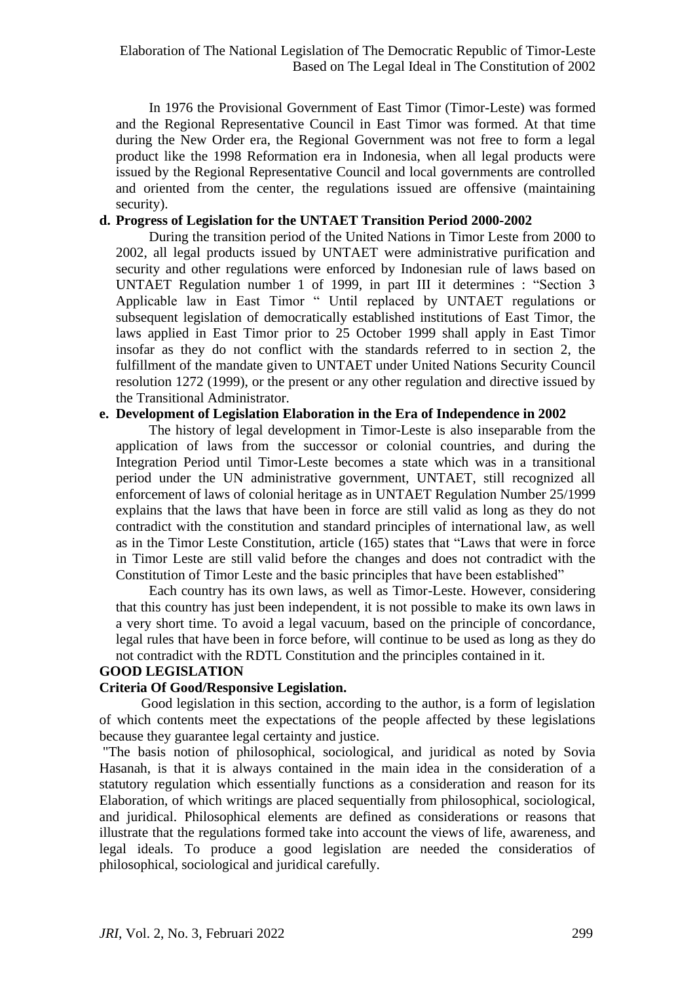In 1976 the Provisional Government of East Timor (Timor-Leste) was formed and the Regional Representative Council in East Timor was formed. At that time during the New Order era, the Regional Government was not free to form a legal product like the 1998 Reformation era in Indonesia, when all legal products were issued by the Regional Representative Council and local governments are controlled and oriented from the center, the regulations issued are offensive (maintaining security).

### **d. Progress of Legislation for the UNTAET Transition Period 2000-2002**

During the transition period of the United Nations in Timor Leste from 2000 to 2002, all legal products issued by UNTAET were administrative purification and security and other regulations were enforced by Indonesian rule of laws based on UNTAET Regulation number 1 of 1999, in part III it determines : "Section 3 Applicable law in East Timor " Until replaced by UNTAET regulations or subsequent legislation of democratically established institutions of East Timor, the laws applied in East Timor prior to 25 October 1999 shall apply in East Timor insofar as they do not conflict with the standards referred to in section 2, the fulfillment of the mandate given to UNTAET under United Nations Security Council resolution 1272 (1999), or the present or any other regulation and directive issued by the Transitional Administrator.

### **e. Development of Legislation Elaboration in the Era of Independence in 2002**

The history of legal development in Timor-Leste is also inseparable from the application of laws from the successor or colonial countries, and during the Integration Period until Timor-Leste becomes a state which was in a transitional period under the UN administrative government, UNTAET, still recognized all enforcement of laws of colonial heritage as in UNTAET Regulation Number 25/1999 explains that the laws that have been in force are still valid as long as they do not contradict with the constitution and standard principles of international law, as well as in the Timor Leste Constitution, article (165) states that "Laws that were in force in Timor Leste are still valid before the changes and does not contradict with the Constitution of Timor Leste and the basic principles that have been established"

Each country has its own laws, as well as Timor-Leste. However, considering that this country has just been independent, it is not possible to make its own laws in a very short time. To avoid a legal vacuum, based on the principle of concordance, legal rules that have been in force before, will continue to be used as long as they do not contradict with the RDTL Constitution and the principles contained in it.

# **GOOD LEGISLATION**

# **Criteria Of Good/Responsive Legislation.**

Good legislation in this section, according to the author, is a form of legislation of which contents meet the expectations of the people affected by these legislations because they guarantee legal certainty and justice.

"The basis notion of philosophical, sociological, and juridical as noted by Sovia Hasanah, is that it is always contained in the main idea in the consideration of a statutory regulation which essentially functions as a consideration and reason for its Elaboration, of which writings are placed sequentially from philosophical, sociological, and juridical. Philosophical elements are defined as considerations or reasons that illustrate that the regulations formed take into account the views of life, awareness, and legal ideals. To produce a good legislation are needed the consideratios of philosophical, sociological and juridical carefully.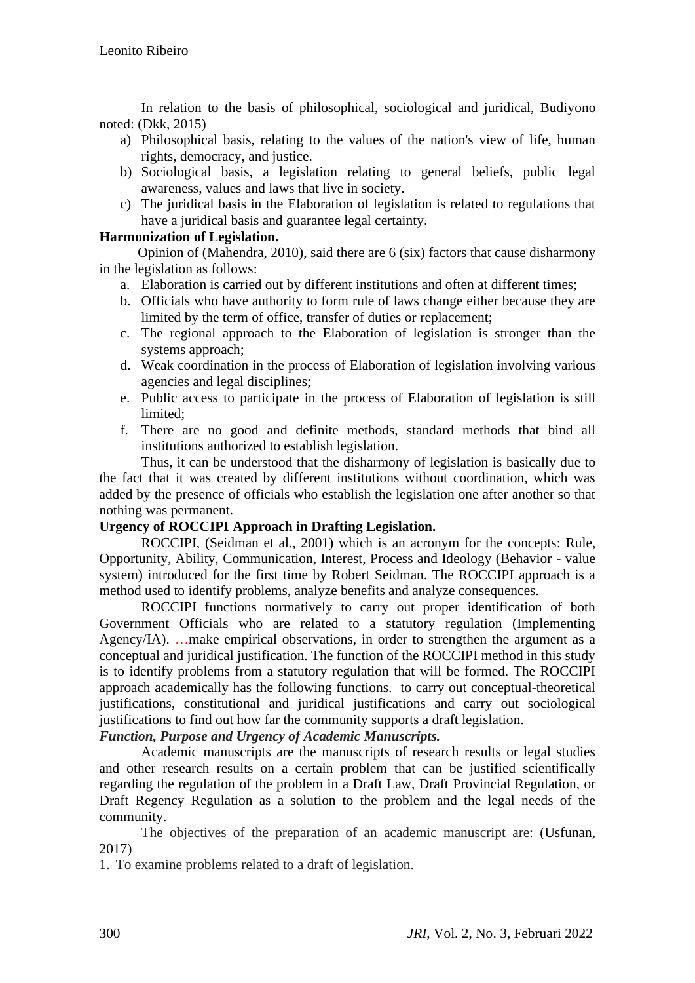In relation to the basis of philosophical, sociological and juridical, Budiyono noted: (Dkk, 2015)

- a) Philosophical basis, relating to the values of the nation's view of life, human rights, democracy, and justice.
- b) Sociological basis, a legislation relating to general beliefs, public legal awareness, values and laws that live in society.
- c) The juridical basis in the Elaboration of legislation is related to regulations that have a juridical basis and guarantee legal certainty.

# **Harmonization of Legislation.**

 Opinion of (Mahendra, 2010), said there are 6 (six) factors that cause disharmony in the legislation as follows:

- a. Elaboration is carried out by different institutions and often at different times;
- b. Officials who have authority to form rule of laws change either because they are limited by the term of office, transfer of duties or replacement;
- c. The regional approach to the Elaboration of legislation is stronger than the systems approach;
- d. Weak coordination in the process of Elaboration of legislation involving various agencies and legal disciplines;
- e. Public access to participate in the process of Elaboration of legislation is still limited;
- f. There are no good and definite methods, standard methods that bind all institutions authorized to establish legislation.

 Thus, it can be understood that the disharmony of legislation is basically due to the fact that it was created by different institutions without coordination, which was added by the presence of officials who establish the legislation one after another so that nothing was permanent.

# **Urgency of ROCCIPI Approach in Drafting Legislation.**

ROCCIPI, (Seidman et al., 2001) which is an acronym for the concepts: Rule, Opportunity, Ability, Communication, Interest, Process and Ideology (Behavior - value system) introduced for the first time by Robert Seidman. The ROCCIPI approach is a method used to identify problems, analyze benefits and analyze consequences.

ROCCIPI functions normatively to carry out proper identification of both Government Officials who are related to a statutory regulation (Implementing Agency/IA). …make empirical observations, in order to strengthen the argument as a conceptual and juridical justification. The function of the ROCCIPI method in this study is to identify problems from a statutory regulation that will be formed. The ROCCIPI approach academically has the following functions. to carry out conceptual-theoretical justifications, constitutional and juridical justifications and carry out sociological justifications to find out how far the community supports a draft legislation.

*Function, Purpose and Urgency of Academic Manuscripts.*

Academic manuscripts are the manuscripts of research results or legal studies and other research results on a certain problem that can be justified scientifically regarding the regulation of the problem in a Draft Law, Draft Provincial Regulation, or Draft Regency Regulation as a solution to the problem and the legal needs of the community.

The objectives of the preparation of an academic manuscript are: (Usfunan, 2017)

1. To examine problems related to a draft of legislation.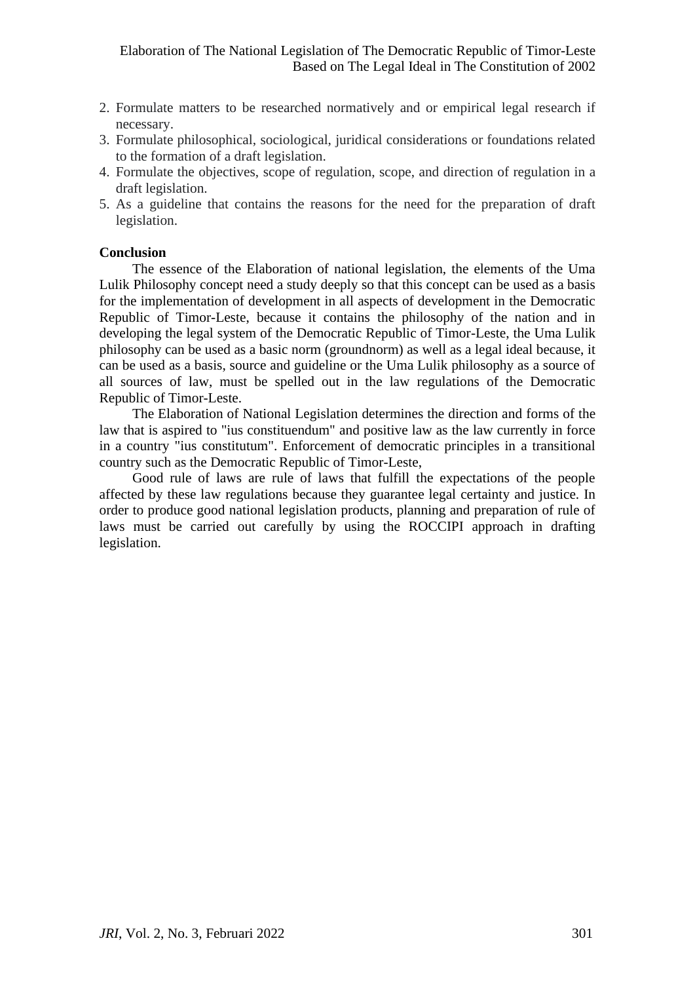- 2. Formulate matters to be researched normatively and or empirical legal research if necessary.
- 3. Formulate philosophical, sociological, juridical considerations or foundations related to the formation of a draft legislation.
- 4. Formulate the objectives, scope of regulation, scope, and direction of regulation in a draft legislation.
- 5. As a guideline that contains the reasons for the need for the preparation of draft legislation.

### **Conclusion**

The essence of the Elaboration of national legislation, the elements of the Uma Lulik Philosophy concept need a study deeply so that this concept can be used as a basis for the implementation of development in all aspects of development in the Democratic Republic of Timor-Leste, because it contains the philosophy of the nation and in developing the legal system of the Democratic Republic of Timor-Leste, the Uma Lulik philosophy can be used as a basic norm (groundnorm) as well as a legal ideal because, it can be used as a basis, source and guideline or the Uma Lulik philosophy as a source of all sources of law, must be spelled out in the law regulations of the Democratic Republic of Timor-Leste.

The Elaboration of National Legislation determines the direction and forms of the law that is aspired to "ius constituendum" and positive law as the law currently in force in a country "ius constitutum". Enforcement of democratic principles in a transitional country such as the Democratic Republic of Timor-Leste,

Good rule of laws are rule of laws that fulfill the expectations of the people affected by these law regulations because they guarantee legal certainty and justice. In order to produce good national legislation products, planning and preparation of rule of laws must be carried out carefully by using the ROCCIPI approach in drafting legislation.